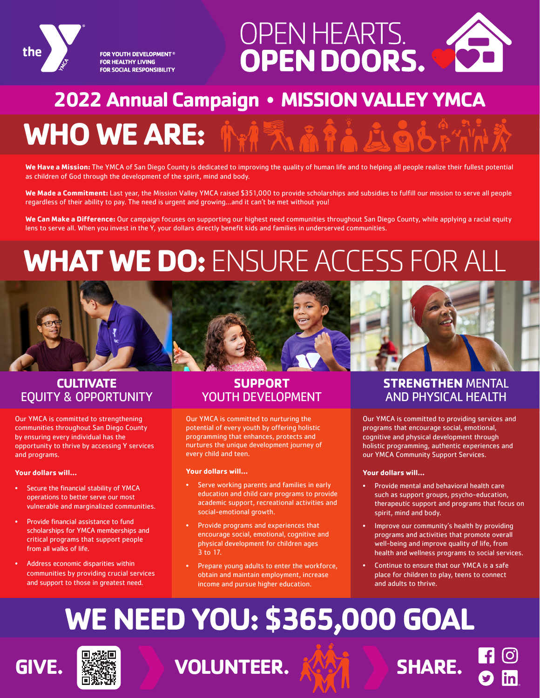

FOR YOUTH DEVELOPMENT® **FOR HEALTHY LIVING** FOR SOCIAL RESPONSIBILITY



### **2022 Annual Campaign** • **MISSION VALLEY YMCA**

## **WHO WE ARE:**

**We Have a Mission:** The YMCA of San Diego County is dedicated to improving the quality of human life and to helping all people realize their fullest potential as children of God through the development of the spirit, mind and body.

**We Made a Commitment:** Last year, the Mission Valley YMCA raised \$351,000 to provide scholarships and subsidies to fulfill our mission to serve all people regardless of their ability to pay. The need is urgent and growing…and it can't be met without you!

**We Can Make a Difference:** Our campaign focuses on supporting our highest need communities throughout San Diego County, while applying a racial equity lens to serve all. When you invest in the Y, your dollars directly benefit kids and families in underserved communities.

# **WHAT WE DO:** ENSURE ACCESS FOR ALL



### **CULTIVATE** EQUITY & OPPORTUNITY

Our YMCA is committed to strengthening communities throughout San Diego County by ensuring every individual has the opportunity to thrive by accessing Y services and programs.

#### **Your dollars will…**

- Secure the financial stability of YMCA operations to better serve our most vulnerable and marginalized communities.
- Provide financial assistance to fund scholarships for YMCA memberships and critical programs that support people from all walks of life.
- Address economic disparities within communities by providing crucial services and support to those in greatest need.

#### **SUPPORT** YOUTH DEVELOPMENT

Our YMCA is committed to nurturing the potential of every youth by offering holistic programming that enhances, protects and nurtures the unique development journey of every child and teen.

#### **Your dollars will…**

- Serve working parents and families in early education and child care programs to provide academic support, recreational activities and social-emotional growth.
- Provide programs and experiences that encourage social, emotional, cognitive and physical development for children ages 3 to 17.
- Prepare young adults to enter the workforce, obtain and maintain employment, increase income and pursue higher education.

#### **STRENGTHEN** MENTAL AND PHYSICAL HEALTH

Our YMCA is committed to providing services and programs that encourage social, emotional, cognitive and physical development through holistic programming, authentic experiences and our YMCA Community Support Services.

#### **Your dollars will…**

- Provide mental and behavioral health care such as support groups, psycho-education, therapeutic support and programs that focus on spirit, mind and body.
- Improve our community's health by providing programs and activities that promote overall well-being and improve quality of life, from health and wellness programs to social services.
- Continue to ensure that our YMCA is a safe place for children to play, teens to connect and adults to thrive.

# **WE NEED YOU: \$365,000 GOAL**